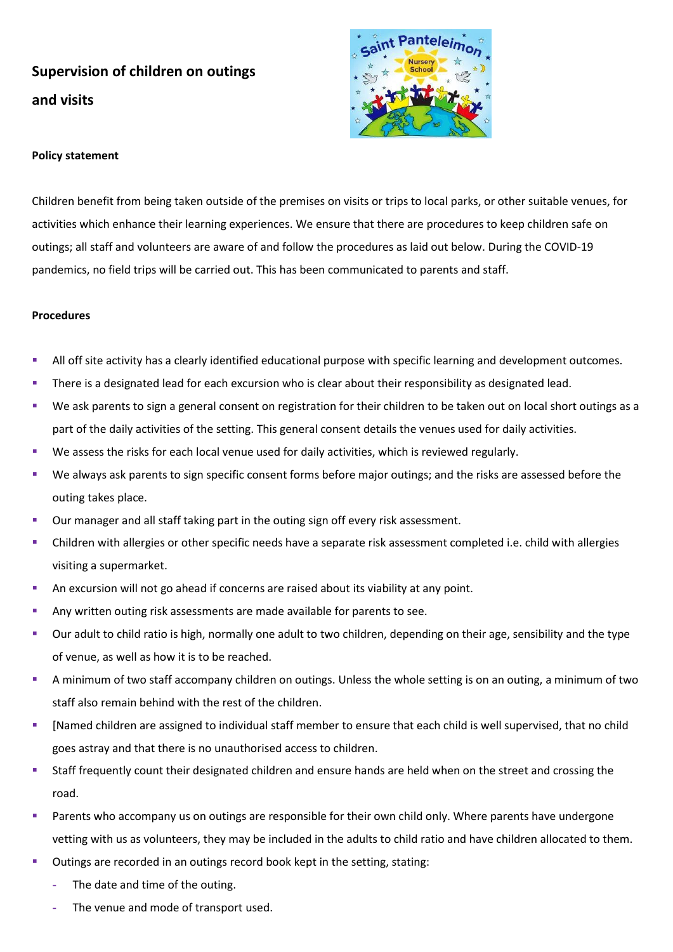## **Supervision of children on outings and visits**



## **Policy statement**

Children benefit from being taken outside of the premises on visits or trips to local parks, or other suitable venues, for activities which enhance their learning experiences. We ensure that there are procedures to keep children safe on outings; all staff and volunteers are aware of and follow the procedures as laid out below. During the COVID-19 pandemics, no field trips will be carried out. This has been communicated to parents and staff.

## **Procedures**

- All off site activity has a clearly identified educational purpose with specific learning and development outcomes.
- **•** There is a designated lead for each excursion who is clear about their responsibility as designated lead.
- We ask parents to sign a general consent on registration for their children to be taken out on local short outings as a part of the daily activities of the setting. This general consent details the venues used for daily activities.
- We assess the risks for each local venue used for daily activities, which is reviewed regularly.
- We always ask parents to sign specific consent forms before major outings; and the risks are assessed before the outing takes place.
- Our manager and all staff taking part in the outing sign off every risk assessment.
- Children with allergies or other specific needs have a separate risk assessment completed i.e. child with allergies visiting a supermarket.
- An excursion will not go ahead if concerns are raised about its viability at any point.
- Any written outing risk assessments are made available for parents to see.
- Our adult to child ratio is high, normally one adult to two children, depending on their age, sensibility and the type of venue, as well as how it is to be reached.
- A minimum of two staff accompany children on outings. Unless the whole setting is on an outing, a minimum of two staff also remain behind with the rest of the children.
- [Named children are assigned to individual staff member to ensure that each child is well supervised, that no child goes astray and that there is no unauthorised access to children.
- Staff frequently count their designated children and ensure hands are held when on the street and crossing the road.
- Parents who accompany us on outings are responsible for their own child only. Where parents have undergone vetting with us as volunteers, they may be included in the adults to child ratio and have children allocated to them.
- Outings are recorded in an outings record book kept in the setting, stating:
	- **-** The date and time of the outing.
	- **-** The venue and mode of transport used.